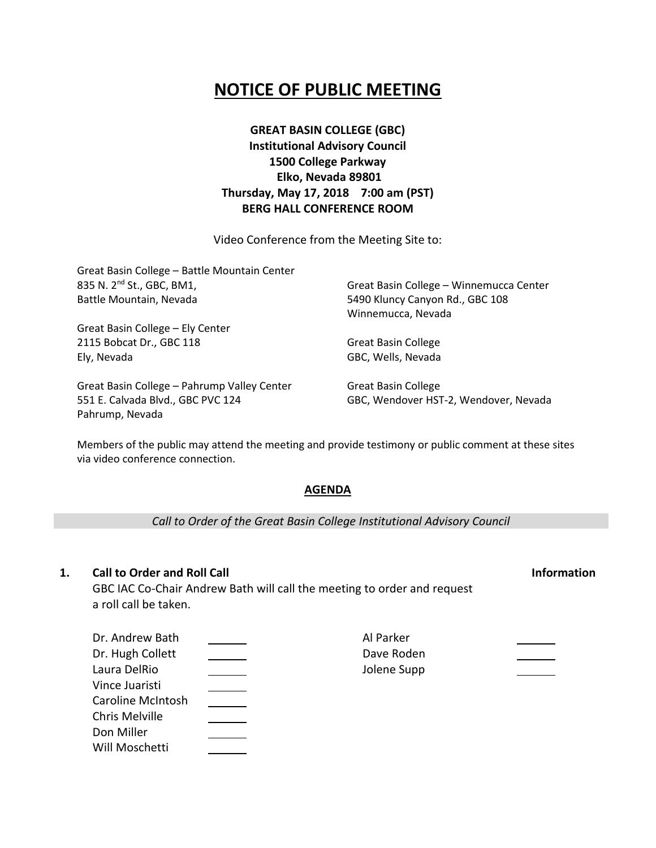# **NOTICE OF PUBLIC MEETING**

**GREAT BASIN COLLEGE (GBC) Institutional Advisory Council 1500 College Parkway Elko, Nevada 89801 Thursday, May 17, 2018 7:00 am (PST) BERG HALL CONFERENCE ROOM**

Video Conference from the Meeting Site to:

| Great Basin College - Battle Mountain Center |                                         |
|----------------------------------------------|-----------------------------------------|
| 835 N. 2 <sup>nd</sup> St., GBC, BM1,        | Great Basin College - Winnemucca Center |
| Battle Mountain, Nevada                      | 5490 Kluncy Canyon Rd., GBC 108         |
|                                              | Winnemucca, Nevada                      |
| Great Basin College - Ely Center             |                                         |
| 2115 Bobcat Dr., GBC 118                     | <b>Great Basin College</b>              |
| Ely, Nevada                                  | GBC, Wells, Nevada                      |
| Great Basin College - Pahrump Valley Center  | <b>Great Basin College</b>              |
| 551 E. Calvada Blvd., GBC PVC 124            | GBC, Wendover HST-2, Wendover, Nevada   |

Members of the public may attend the meeting and provide testimony or public comment at these sites via video conference connection.

### **AGENDA**

*Call to Order of the Great Basin College Institutional Advisory Council*

### **1. Call to Order and Roll Call Information**

Pahrump, Nevada

GBC IAC Co-Chair Andrew Bath will call the meeting to order and request a roll call be taken.

| Dr. Andrew Bath   | Al Parker   |  |
|-------------------|-------------|--|
| Dr. Hugh Collett  | Dave Roden  |  |
| Laura DelRio      | Jolene Supp |  |
| Vince Juaristi    |             |  |
| Caroline McIntosh |             |  |
| Chris Melville    |             |  |
| Don Miller        |             |  |
| Will Moschetti    |             |  |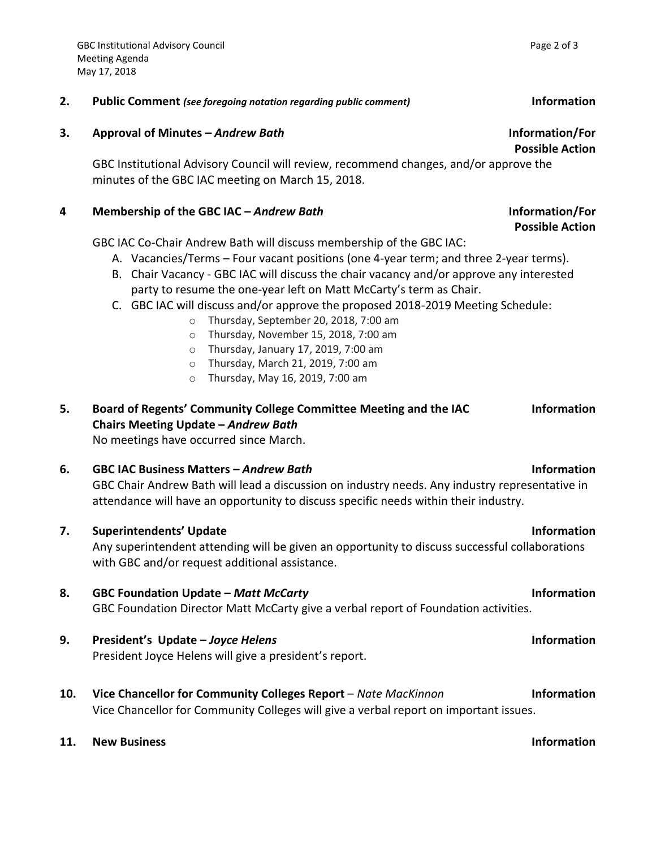### **2. Public Comment** *(see foregoing notation regarding public comment)* **Information**

### **3. Approval of Minutes –** *Andrew Bath* **Information/For**

GBC Institutional Advisory Council will review, recommend changes, and/or approve the minutes of the GBC IAC meeting on March 15, 2018.

### **4 Membership of the GBC IAC –** *Andrew Bath* **Information/For**

GBC IAC Co-Chair Andrew Bath will discuss membership of the GBC IAC:

- A. Vacancies/Terms Four vacant positions (one 4-year term; and three 2-year terms).
- B. Chair Vacancy GBC IAC will discuss the chair vacancy and/or approve any interested party to resume the one-year left on Matt McCarty's term as Chair.
- C. GBC IAC will discuss and/or approve the proposed 2018-2019 Meeting Schedule:
	- o Thursday, September 20, 2018, 7:00 am
	- o Thursday, November 15, 2018, 7:00 am
	- o Thursday, January 17, 2019, 7:00 am
	- o Thursday, March 21, 2019, 7:00 am
	- o Thursday, May 16, 2019, 7:00 am

### **5. Board of Regents' Community College Committee Meeting and the IAC Chairs Meeting Update –** *Andrew Bath* **Information**  No meetings have occurred since March.

**6. GBC IAC Business Matters –** *Andrew Bath* **Information** GBC Chair Andrew Bath will lead a discussion on industry needs. Any industry representative in attendance will have an opportunity to discuss specific needs within their industry.

- **7. Superintendents' Update Information** Any superintendent attending will be given an opportunity to discuss successful collaborations
- **8. GBC Foundation Update –** *Matt McCarty* **Information** GBC Foundation Director Matt McCarty give a verbal report of Foundation activities.
- **9. President's Update –** *Joyce Helens* **Information** President Joyce Helens will give a president's report.

with GBC and/or request additional assistance.

- **10. Vice Chancellor for Community Colleges Report** *Nate MacKinnon* **Information** Vice Chancellor for Community Colleges will give a verbal report on important issues.
- **11. New Business Information**

**Possible Action**

**Possible Action**